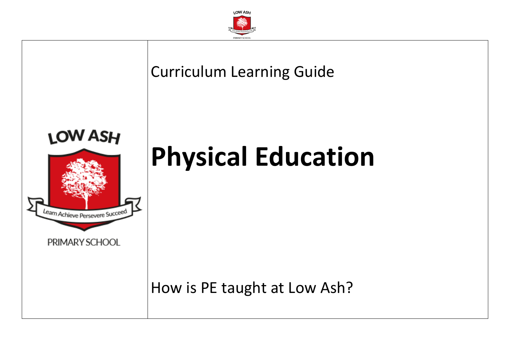

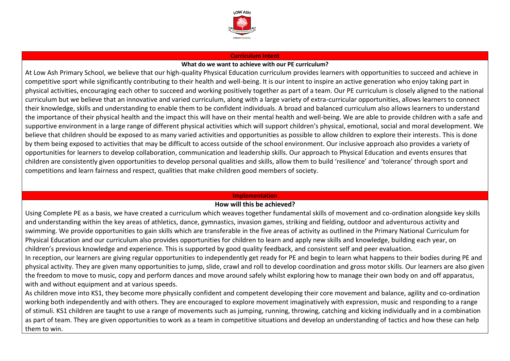

#### **Curriculum Intent**

### **What do we want to achieve with our PE curriculum?**

At Low Ash Primary School, we believe that our high-quality Physical Education curriculum provides learners with opportunities to succeed and achieve in competitive sport while significantly contributing to their health and well-being. It is our intent to inspire an active generation who enjoy taking part in physical activities, encouraging each other to succeed and working positively together as part of a team. Our PE curriculum is closely aligned to the national curriculum but we believe that an innovative and varied curriculum, along with a large variety of extra-curricular opportunities, allows learners to connect their knowledge, skills and understanding to enable them to be confident individuals. A broad and balanced curriculum also allows learners to understand the importance of their physical health and the impact this will have on their mental health and well-being. We are able to provide children with a safe and supportive environment in a large range of different physical activities which will support children's physical, emotional, social and moral development. We believe that children should be exposed to as many varied activities and opportunities as possible to allow children to explore their interests. This is done by them being exposed to activities that may be difficult to access outside of the school environment. Our inclusive approach also provides a variety of opportunities for learners to develop collaboration, communication and leadership skills. Our approach to Physical Education and events ensures that children are consistently given opportunities to develop personal qualities and skills, allow them to build 'resilience' and 'tolerance' through sport and competitions and learn fairness and respect, qualities that make children good members of society.

#### **Implementation**

## **How will this be achieved?**

Using Complete PE as a basis, we have created a curriculum which weaves together fundamental skills of movement and co-ordination alongside key skills and understanding within the key areas of athletics, dance, gymnastics, invasion games, striking and fielding, outdoor and adventurous activity and swimming. We provide opportunities to gain skills which are transferable in the five areas of activity as outlined in the Primary National Curriculum for Physical Education and our curriculum also provides opportunities for children to learn and apply new skills and knowledge, building each year, on children's previous knowledge and experience. This is supported by good quality feedback, and consistent self and peer evaluation.

In reception, our learners are giving regular opportunities to independently get ready for PE and begin to learn what happens to their bodies during PE and physical activity. They are given many opportunities to jump, slide, crawl and roll to develop coordination and gross motor skills. Our learners are also given the freedom to move to music, copy and perform dances and move around safely whilst exploring how to manage their own body on and off apparatus, with and without equipment and at various speeds.

As children move into KS1, they become more physically confident and competent developing their core movement and balance, agility and co-ordination working both independently and with others. They are encouraged to explore movement imaginatively with expression, music and responding to a range of stimuli. KS1 children are taught to use a range of movements such as jumping, running, throwing, catching and kicking individually and in a combination as part of team. They are given opportunities to work as a team in competitive situations and develop an understanding of tactics and how these can help them to win.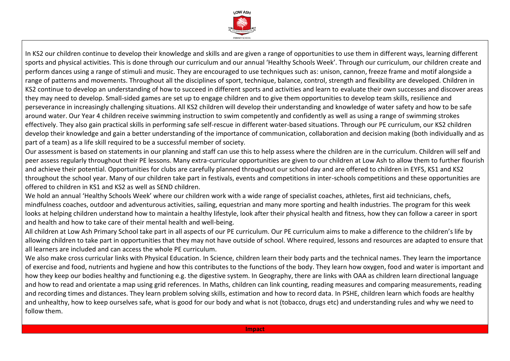

In KS2 our children continue to develop their knowledge and skills and are given a range of opportunities to use them in different ways, learning different sports and physical activities. This is done through our curriculum and our annual 'Healthy Schools Week'. Through our curriculum, our children create and perform dances using a range of stimuli and music. They are encouraged to use techniques such as: unison, cannon, freeze frame and motif alongside a range of patterns and movements. Throughout all the disciplines of sport, technique, balance, control, strength and flexibility are developed. Children in KS2 continue to develop an understanding of how to succeed in different sports and activities and learn to evaluate their own successes and discover areas they may need to develop. Small-sided games are set up to engage children and to give them opportunities to develop team skills, resilience and perseverance in increasingly challenging situations. All KS2 children will develop their understanding and knowledge of water safety and how to be safe around water. Our Year 4 children receive swimming instruction to swim competently and confidently as well as using a range of swimming strokes effectively. They also gain practical skills in performing safe self-rescue in different water-based situations. Through our PE curriculum, our KS2 children develop their knowledge and gain a better understanding of the importance of communication, collaboration and decision making (both individually and as part of a team) as a life skill required to be a successful member of society.

Our assessment is based on statements in our planning and staff can use this to help assess where the children are in the curriculum. Children will self and peer assess regularly throughout their PE lessons. Many extra-curricular opportunities are given to our children at Low Ash to allow them to further flourish and achieve their potential. Opportunities for clubs are carefully planned throughout our school day and are offered to children in EYFS, KS1 and KS2 throughout the school year. Many of our children take part in festivals, events and competitions in inter-schools competitions and these opportunities are offered to children in KS1 and KS2 as well as SEND children.

We hold an annual 'Healthy Schools Week' where our children work with a wide range of specialist coaches, athletes, first aid technicians, chefs, mindfulness coaches, outdoor and adventurous activities, sailing, equestrian and many more sporting and health industries. The program for this week looks at helping children understand how to maintain a healthy lifestyle, look after their physical health and fitness, how they can follow a career in sport and health and how to take care of their mental health and well-being.

All children at Low Ash Primary School take part in all aspects of our PE curriculum. Our PE curriculum aims to make a difference to the children's life by allowing children to take part in opportunities that they may not have outside of school. Where required, lessons and resources are adapted to ensure that all learners are included and can access the whole PE curriculum.

We also make cross curricular links with Physical Education. In Science, children learn their body parts and the technical names. They learn the importance of exercise and food, nutrients and hygiene and how this contributes to the functions of the body. They learn how oxygen, food and water is important and how they keep our bodies healthy and functioning e.g. the digestive system. In Geography, there are links with OAA as children learn directional language and how to read and orientate a map using grid references. In Maths, children can link counting, reading measures and comparing measurements, reading and recording times and distances. They learn problem solving skills, estimation and how to record data. In PSHE, children learn which foods are healthy and unhealthy, how to keep ourselves safe, what is good for our body and what is not (tobacco, drugs etc) and understanding rules and why we need to follow them.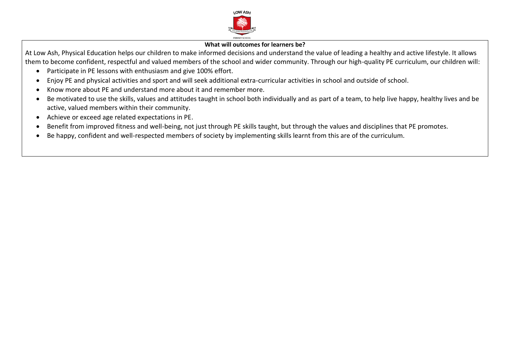

# **What will outcomes for learners be?**

At Low Ash, Physical Education helps our children to make informed decisions and understand the value of leading a healthy and active lifestyle. It allows them to become confident, respectful and valued members of the school and wider community. Through our high-quality PE curriculum, our children will:

- Participate in PE lessons with enthusiasm and give 100% effort.
- Enjoy PE and physical activities and sport and will seek additional extra-curricular activities in school and outside of school.
- Know more about PE and understand more about it and remember more.
- Be motivated to use the skills, values and attitudes taught in school both individually and as part of a team, to help live happy, healthy lives and be active, valued members within their community.
- Achieve or exceed age related expectations in PE.
- Benefit from improved fitness and well-being, not just through PE skills taught, but through the values and disciplines that PE promotes.
- Be happy, confident and well-respected members of society by implementing skills learnt from this are of the curriculum.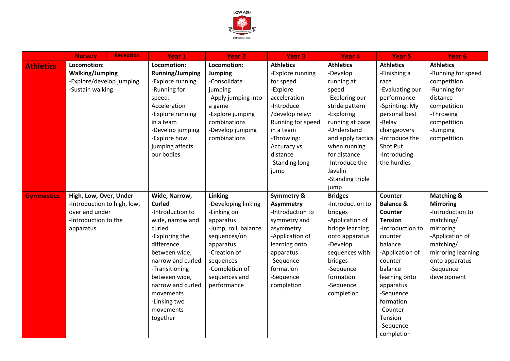

|                   | <b>Nursery</b>              | <b>Reception</b> | Year 1                 | <b>Year 2</b>        | Year <sub>3</sub>     | Year 4            | Year 5               | Year <sub>6</sub>     |
|-------------------|-----------------------------|------------------|------------------------|----------------------|-----------------------|-------------------|----------------------|-----------------------|
| <b>Athletics</b>  | Locomotion:                 |                  | Locomotion:            | Locomotion:          | <b>Athletics</b>      | <b>Athletics</b>  | <b>Athletics</b>     | <b>Athletics</b>      |
|                   | <b>Walking/Jumping</b>      |                  | <b>Running/Jumping</b> | <b>Jumping</b>       | -Explore running      | -Develop          | -Finishing a         | -Running for speed    |
|                   | -Explore/develop jumping    |                  | -Explore running       | -Consolidate         | for speed             | running at        | race                 | competition           |
|                   | -Sustain walking            |                  | -Running for           | jumping              | -Explore              | speed             | -Evaluating our      | -Running for          |
|                   |                             |                  | speed:                 | -Apply jumping into  | acceleration          | -Exploring our    | performance          | distance              |
|                   |                             |                  | Acceleration           | a game               | -Introduce            | stride pattern    | -Sprinting: My       | competition           |
|                   |                             |                  | -Explore running       | -Explore jumping     | /develop relay:       | -Exploring        | personal best        | -Throwing             |
|                   |                             |                  | in a team              | combinations         | Running for speed     | running at pace   | -Relay               | competition           |
|                   |                             |                  | -Develop jumping       | -Develop jumping     | in a team             | -Understand       | changeovers          | -Jumping              |
|                   |                             |                  | -Explore how           | combinations         | -Throwing:            | and apply tactics | -Introduce the       | competition           |
|                   |                             |                  | jumping affects        |                      | Accuracy vs           | when running      | Shot Put             |                       |
|                   |                             |                  | our bodies             |                      | distance              | for distance      | -Introducing         |                       |
|                   |                             |                  |                        |                      | -Standing long        | -Introduce the    | the hurdles          |                       |
|                   |                             |                  |                        |                      | jump                  | Javelin           |                      |                       |
|                   |                             |                  |                        |                      |                       | -Standing triple  |                      |                       |
|                   |                             |                  |                        |                      |                       | jump              |                      |                       |
| <b>Gymnastics</b> | High, Low, Over, Under      |                  | Wide, Narrow,          | Linking              | <b>Symmetry &amp;</b> | <b>Bridges</b>    | Counter              | <b>Matching &amp;</b> |
|                   | -Introduction to high, low, |                  | <b>Curled</b>          | -Developing linking  | <b>Asymmetry</b>      | -Introduction to  | <b>Balance &amp;</b> | <b>Mirroring</b>      |
|                   | over and under              |                  | -Introduction to       | -Linking on          | -Introduction to      | bridges           | Counter              | -Introduction to      |
|                   | -Introduction to the        |                  | wide, narrow and       | apparatus            | symmetry and          | -Application of   | <b>Tension</b>       | matching/             |
|                   | apparatus                   |                  | curled                 | -Jump, roll, balance | asymmetry             | bridge learning   | -Introduction to     | mirroring             |
|                   |                             |                  | -Exploring the         | sequences/on         | -Application of       | onto apparatus    | counter              | -Application of       |
|                   |                             |                  | difference             | apparatus            | learning onto         | -Develop          | balance              | matching/             |
|                   |                             |                  | between wide,          | -Creation of         | apparatus             | sequences with    | -Application of      | mirroring learning    |
|                   |                             |                  | narrow and curled      | sequences            | -Sequence             | bridges           | counter              | onto apparatus        |
|                   |                             |                  | -Transitioning         | -Completion of       | formation             | -Sequence         | balance              | -Sequence             |
|                   |                             |                  | between wide,          | sequences and        | -Sequence             | formation         | learning onto        | development           |
|                   |                             |                  | narrow and curled      | performance          | completion            | -Sequence         | apparatus            |                       |
|                   |                             |                  | movements              |                      |                       | completion        | -Sequence            |                       |
|                   |                             |                  | -Linking two           |                      |                       |                   | formation            |                       |
|                   |                             |                  | movements              |                      |                       |                   | -Counter             |                       |
|                   |                             |                  | together               |                      |                       |                   | Tension              |                       |
|                   |                             |                  |                        |                      |                       |                   | -Sequence            |                       |
|                   |                             |                  |                        |                      |                       |                   | completion           |                       |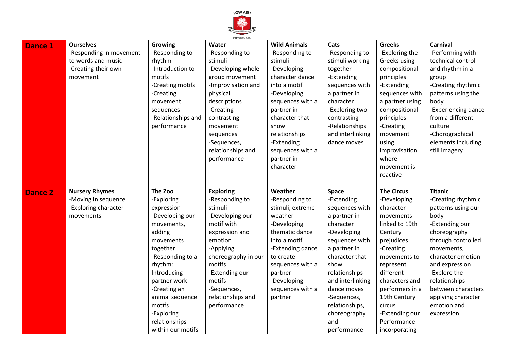

| <b>Dance 1</b> | <b>Ourselves</b>        | <b>Growing</b>                     | PRIMARY SCHOOL<br>Water | <b>Wild Animals</b> | Cats               | <b>Greeks</b>     | <b>Carnival</b>     |
|----------------|-------------------------|------------------------------------|-------------------------|---------------------|--------------------|-------------------|---------------------|
|                | -Responding in movement | -Responding to                     | -Responding to          | -Responding to      | -Responding to     | -Exploring the    | -Performing with    |
|                | to words and music      | rhythm                             | stimuli                 | stimuli             | stimuli working    | Greeks using      | technical control   |
|                | -Creating their own     | -Introduction to                   | -Developing whole       | -Developing         | together           | compositional     | and rhythm in a     |
|                | movement                | motifs                             | group movement          | character dance     | -Extending         | principles        | group               |
|                |                         | -Creating motifs                   | -Improvisation and      | into a motif        | sequences with     | -Extending        | -Creating rhythmic  |
|                |                         | -Creating                          | physical                | -Developing         | a partner in       | sequences with    | patterns using the  |
|                |                         | movement                           | descriptions            | sequences with a    | character          | a partner using   | body                |
|                |                         | sequences                          | -Creating               | partner in          | -Exploring two     | compositional     | -Experiencing dance |
|                |                         | -Relationships and                 | contrasting             | character that      | contrasting        | principles        | from a different    |
|                |                         | performance                        | movement                | show                | -Relationships     | -Creating         | culture             |
|                |                         |                                    | sequences               | relationships       | and interlinking   | movement          | -Chorographical     |
|                |                         |                                    | -Sequences,             | -Extending          | dance moves        | using             | elements including  |
|                |                         |                                    | relationships and       | sequences with a    |                    | improvisation     | still imagery       |
|                |                         |                                    | performance             | partner in          |                    | where             |                     |
|                |                         |                                    |                         | character           |                    | movement is       |                     |
|                |                         |                                    |                         |                     |                    | reactive          |                     |
|                |                         |                                    |                         |                     |                    |                   |                     |
| <b>Dance 2</b> | <b>Nursery Rhymes</b>   | The Zoo                            | <b>Exploring</b>        | Weather             | Space              | <b>The Circus</b> | <b>Titanic</b>      |
|                |                         |                                    |                         |                     |                    |                   |                     |
|                | -Moving in sequence     | -Exploring                         | -Responding to          | -Responding to      | -Extending         | -Developing       | -Creating rhythmic  |
|                | -Exploring character    | expression                         | stimuli                 | stimuli, extreme    | sequences with     | character         | patterns using our  |
|                | movements               | -Developing our                    | -Developing our         | weather             | a partner in       | movements         | body                |
|                |                         | movements,                         | motif with              | -Developing         | character          | linked to 19th    | -Extending our      |
|                |                         | adding                             | expression and          | thematic dance      | -Developing        | Century           | choreography        |
|                |                         | movements                          | emotion                 | into a motif        | sequences with     | prejudices        | through controlled  |
|                |                         | together                           | -Applying               | -Extending dance    | a partner in       | -Creating         | movements,          |
|                |                         | -Responding to a                   | choreography in our     | to create           | character that     | movements to      | character emotion   |
|                |                         | rhythm:                            | motifs                  | sequences with a    | show               | represent         | and expression      |
|                |                         | Introducing                        | -Extending our          | partner             | relationships      | different         | -Explore the        |
|                |                         | partner work                       | motifs                  | -Developing         | and interlinking   | characters and    | relationships       |
|                |                         | -Creating an                       | -Sequences,             | sequences with a    | dance moves        | performers in a   | between characters  |
|                |                         | animal sequence                    | relationships and       | partner             | -Sequences,        | 19th Century      | applying character  |
|                |                         | motifs                             | performance             |                     | relationships,     | circus            | emotion and         |
|                |                         | -Exploring                         |                         |                     | choreography       | -Extending our    | expression          |
|                |                         | relationships<br>within our motifs |                         |                     | and<br>performance | Performance       |                     |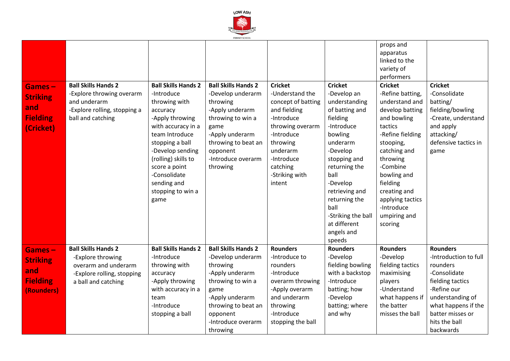

|                 |                                                   |                            | PRIMARY SCHOOL             |                    |                    |                  |                       |
|-----------------|---------------------------------------------------|----------------------------|----------------------------|--------------------|--------------------|------------------|-----------------------|
|                 |                                                   |                            |                            |                    |                    | props and        |                       |
|                 |                                                   |                            |                            |                    |                    | apparatus        |                       |
|                 |                                                   |                            |                            |                    |                    | linked to the    |                       |
|                 |                                                   |                            |                            |                    |                    | variety of       |                       |
|                 |                                                   |                            |                            |                    |                    | performers       |                       |
| Games-          | <b>Ball Skills Hands 2</b>                        | <b>Ball Skills Hands 2</b> | <b>Ball Skills Hands 2</b> | <b>Cricket</b>     | <b>Cricket</b>     | <b>Cricket</b>   | <b>Cricket</b>        |
| <b>Striking</b> | -Explore throwing overarm                         | -Introduce                 | -Develop underarm          | -Understand the    | -Develop an        | -Refine batting, | -Consolidate          |
|                 | and underarm                                      | throwing with              | throwing                   | concept of batting | understanding      | understand and   | batting/              |
| and             | -Explore rolling, stopping a                      | accuracy                   | -Apply underarm            | and fielding       | of batting and     | develop batting  | fielding/bowling      |
| <b>Fielding</b> | ball and catching                                 | -Apply throwing            | throwing to win a          | -Introduce         | fielding           | and bowling      | -Create, understand   |
| (Cricket)       |                                                   | with accuracy in a         | game                       | throwing overarm   | -Introduce         | tactics          | and apply             |
|                 |                                                   | team Introduce             | -Apply underarm            | -Introduce         | bowling            | -Refine fielding | attacking/            |
|                 |                                                   | stopping a ball            | throwing to beat an        | throwing           | underarm           | stooping,        | defensive tactics in  |
|                 |                                                   | -Develop sending           | opponent                   | underarm           | -Develop           | catching and     | game                  |
|                 |                                                   | (rolling) skills to        | -Introduce overarm         | -Introduce         | stopping and       | throwing         |                       |
|                 |                                                   | score a point              | throwing                   | catching           | returning the      | -Combine         |                       |
|                 |                                                   | -Consolidate               |                            | -Striking with     | ball               | bowling and      |                       |
|                 |                                                   | sending and                |                            | intent             | -Develop           | fielding         |                       |
|                 |                                                   | stopping to win a          |                            |                    | retrieving and     | creating and     |                       |
|                 |                                                   | game                       |                            |                    | returning the      | applying tactics |                       |
|                 |                                                   |                            |                            |                    | ball               | -Introduce       |                       |
|                 |                                                   |                            |                            |                    | -Striking the ball | umpiring and     |                       |
|                 |                                                   |                            |                            |                    | at different       | scoring          |                       |
|                 |                                                   |                            |                            |                    | angels and         |                  |                       |
|                 |                                                   |                            |                            |                    | speeds             |                  |                       |
|                 | <b>Ball Skills Hands 2</b>                        | <b>Ball Skills Hands 2</b> | <b>Ball Skills Hands 2</b> | <b>Rounders</b>    | <b>Rounders</b>    | <b>Rounders</b>  | <b>Rounders</b>       |
| Games-          | -Explore throwing                                 | -Introduce                 | -Develop underarm          | -Introduce to      | -Develop           | -Develop         | -Introduction to full |
| <b>Striking</b> | overarm and underarm                              | throwing with              | throwing                   | rounders           | fielding bowling   | fielding tactics | rounders              |
| and             |                                                   | accuracy                   | -Apply underarm            | -Introduce         | with a backstop    | maximising       | -Consolidate          |
| <b>Fielding</b> | -Explore rolling, stopping<br>a ball and catching | -Apply throwing            | throwing to win a          | overarm throwing   | -Introduce         | players          | fielding tactics      |
|                 |                                                   | with accuracy in a         | game                       | -Apply overarm     | batting; how       | -Understand      | -Refine our           |
| (Rounders)      |                                                   | team                       | -Apply underarm            | and underarm       | -Develop           | what happens if  | understanding of      |
|                 |                                                   | -Introduce                 | throwing to beat an        | throwing           | batting; where     | the batter       | what happens if the   |
|                 |                                                   | stopping a ball            | opponent                   | -Introduce         | and why            | misses the ball  | batter misses or      |
|                 |                                                   |                            | -Introduce overarm         |                    |                    |                  | hits the ball         |
|                 |                                                   |                            |                            | stopping the ball  |                    |                  |                       |
|                 |                                                   |                            | throwing                   |                    |                    |                  | backwards             |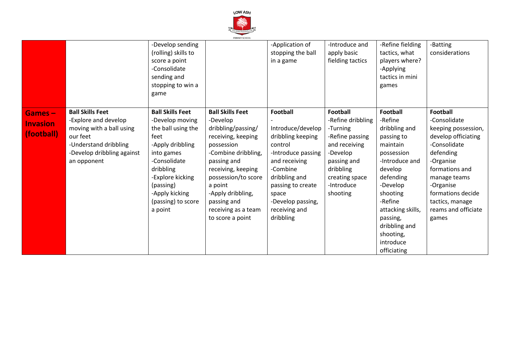

|                                         |                                                                                                                                                               | -Develop sending<br>(rolling) skills to<br>score a point<br>-Consolidate<br>sending and<br>stopping to win a<br>game                                                                                                        | PRIMARY SUHUUL                                                                                                                                                                                                                                                             | -Application of<br>stopping the ball<br>in a game                                                                                                                                                                         | -Introduce and<br>apply basic<br>fielding tactics                                                                                                                        | -Refine fielding<br>tactics, what<br>players where?<br>-Applying<br>tactics in mini<br>games                                                                                                                                                                | -Batting<br>considerations                                                                                                                                                                                                                     |
|-----------------------------------------|---------------------------------------------------------------------------------------------------------------------------------------------------------------|-----------------------------------------------------------------------------------------------------------------------------------------------------------------------------------------------------------------------------|----------------------------------------------------------------------------------------------------------------------------------------------------------------------------------------------------------------------------------------------------------------------------|---------------------------------------------------------------------------------------------------------------------------------------------------------------------------------------------------------------------------|--------------------------------------------------------------------------------------------------------------------------------------------------------------------------|-------------------------------------------------------------------------------------------------------------------------------------------------------------------------------------------------------------------------------------------------------------|------------------------------------------------------------------------------------------------------------------------------------------------------------------------------------------------------------------------------------------------|
| Games-<br><b>Invasion</b><br>(football) | <b>Ball Skills Feet</b><br>-Explore and develop<br>moving with a ball using<br>our feet<br>-Understand dribbling<br>-Develop dribbling against<br>an opponent | <b>Ball Skills Feet</b><br>-Develop moving<br>the ball using the<br>feet<br>-Apply dribbling<br>into games<br>-Consolidate<br>dribbling<br>-Explore kicking<br>(passing)<br>-Apply kicking<br>(passing) to score<br>a point | <b>Ball Skills Feet</b><br>-Develop<br>dribbling/passing/<br>receiving, keeping<br>possession<br>-Combine dribbling,<br>passing and<br>receiving, keeping<br>possession/to score<br>a point<br>-Apply dribbling,<br>passing and<br>receiving as a team<br>to score a point | <b>Football</b><br>Introduce/develop<br>dribbling keeping<br>control<br>-Introduce passing<br>and receiving<br>-Combine<br>dribbling and<br>passing to create<br>space<br>-Develop passing,<br>receiving and<br>dribbling | <b>Football</b><br>-Refine dribbling<br>-Turning<br>-Refine passing<br>and receiving<br>-Develop<br>passing and<br>dribbling<br>creating space<br>-Introduce<br>shooting | <b>Football</b><br>-Refine<br>dribbling and<br>passing to<br>maintain<br>possession<br>-Introduce and<br>develop<br>defending<br>-Develop<br>shooting<br>-Refine<br>attacking skills,<br>passing,<br>dribbling and<br>shooting,<br>introduce<br>officiating | <b>Football</b><br>-Consolidate<br>keeping possession,<br>develop officiating<br>-Consolidate<br>defending<br>-Organise<br>formations and<br>manage teams<br>-Organise<br>formations decide<br>tactics, manage<br>reams and officiate<br>games |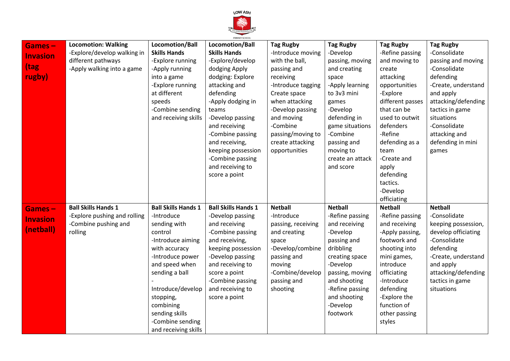

| Games-          | <b>Locomotion: Walking</b>   | Locomotion/Ball            | PRIMARY SCHOOL<br>Locomotion/Ball | <b>Tag Rugby</b>   | <b>Tag Rugby</b> | <b>Tag Rugby</b> | <b>Tag Rugby</b>    |
|-----------------|------------------------------|----------------------------|-----------------------------------|--------------------|------------------|------------------|---------------------|
|                 | -Explore/develop walking in  | <b>Skills Hands</b>        | <b>Skills Hands</b>               | -Introduce moving  | -Develop         | -Refine passing  | -Consolidate        |
| <b>Invasion</b> | different pathways           | -Explore running           | -Explore/develop                  | with the ball,     | passing, moving  | and moving to    | passing and moving  |
| tag             | -Apply walking into a game   | -Apply running             | dodging Apply                     | passing and        | and creating     | create           | -Consolidate        |
| rugby)          |                              | into a game                | dodging: Explore                  | receiving          | space            | attacking        | defending           |
|                 |                              | -Explore running           | attacking and                     | -Introduce tagging | -Apply learning  | opportunities    | -Create, understand |
|                 |                              | at different               | defending                         | Create space       | to 3v3 mini      | -Explore         | and apply           |
|                 |                              | speeds                     | -Apply dodging in                 | when attacking     | games            | different passes | attacking/defending |
|                 |                              | -Combine sending           | teams                             | -Develop passing   | -Develop         | that can be      | tactics in game     |
|                 |                              | and receiving skills       | -Develop passing                  | and moving         | defending in     | used to outwit   | situations          |
|                 |                              |                            | and receiving                     | -Combine           | game situations  | defenders        | -Consolidate        |
|                 |                              |                            | -Combine passing                  | passing/moving to  | -Combine         | -Refine          | attacking and       |
|                 |                              |                            | and receiving,                    | create attacking   | passing and      | defending as a   | defending in mini   |
|                 |                              |                            | keeping possession                | opportunities      | moving to        | team             | games               |
|                 |                              |                            | -Combine passing                  |                    | create an attack | -Create and      |                     |
|                 |                              |                            | and receiving to                  |                    | and score        | apply            |                     |
|                 |                              |                            | score a point                     |                    |                  | defending        |                     |
|                 |                              |                            |                                   |                    |                  | tactics.         |                     |
|                 |                              |                            |                                   |                    |                  | -Develop         |                     |
|                 |                              |                            |                                   |                    |                  | officiating      |                     |
| <b>Games-</b>   | <b>Ball Skills Hands 1</b>   | <b>Ball Skills Hands 1</b> | <b>Ball Skills Hands 1</b>        | <b>Netball</b>     | <b>Netball</b>   | <b>Netball</b>   | <b>Netball</b>      |
| <b>Invasion</b> | -Explore pushing and rolling | -Introduce                 | -Develop passing                  | -Introduce         | -Refine passing  | -Refine passing  | -Consolidate        |
|                 | -Combine pushing and         | sending with               | and receiving                     | passing, receiving | and receiving    | and receiving    | keeping possession, |
| (netball)       | rolling                      | control                    | -Combine passing                  | and creating       | -Develop         | -Apply passing,  | develop officiating |
|                 |                              | -Introduce aiming          | and receiving,                    | space              | passing and      | footwork and     | -Consolidate        |
|                 |                              | with accuracy              | keeping possession                | -Develop/combine   | dribbling        | shooting into    | defending           |
|                 |                              | -Introduce power           | -Develop passing                  | passing and        | creating space   | mini games,      | -Create, understand |
|                 |                              | and speed when             | and receiving to                  | moving             | -Develop         | introduce        | and apply           |
|                 |                              | sending a ball             | score a point                     | -Combine/develop   | passing, moving  | officiating      | attacking/defending |
|                 |                              |                            | -Combine passing                  | passing and        | and shooting     | -Introduce       | tactics in game     |
|                 |                              | Introduce/develop          | and receiving to                  | shooting           | -Refine passing  | defending        | situations          |
|                 |                              | stopping,                  | score a point                     |                    | and shooting     | -Explore the     |                     |
|                 |                              | combining                  |                                   |                    | -Develop         | function of      |                     |
|                 |                              | sending skills             |                                   |                    | footwork         | other passing    |                     |
|                 |                              | -Combine sending           |                                   |                    |                  | styles           |                     |
|                 |                              | and receiving skills       |                                   |                    |                  |                  |                     |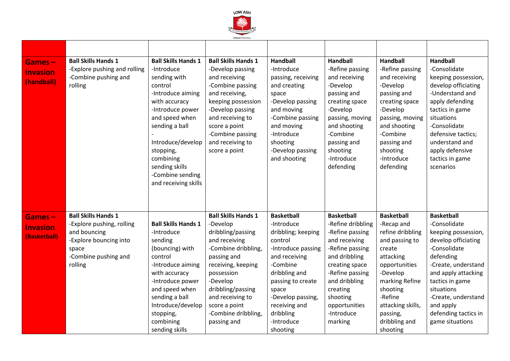

| <b>Games-</b><br><b>Invasion</b><br>(handball) | <b>Ball Skills Hands 1</b><br>-Explore pushing and rolling<br>-Combine pushing and<br>rolling                                                 | <b>Ball Skills Hands 1</b><br>-Introduce<br>sending with<br>control<br>-Introduce aiming<br>with accuracy<br>-Introduce power<br>and speed when<br>sending a ball<br>Introduce/develop<br>stopping,<br>combining<br>sending skills<br>-Combine sending<br>and receiving skills | <b>Ball Skills Hands 1</b><br>-Develop passing<br>and receiving<br>-Combine passing<br>and receiving,<br>keeping possession<br>-Develop passing<br>and receiving to<br>score a point<br>-Combine passing<br>and receiving to<br>score a point                      | <b>Handball</b><br>-Introduce<br>passing, receiving<br>and creating<br>space<br>-Develop passing<br>and moving<br>-Combine passing<br>and moving<br>-Introduce<br>shooting<br>-Develop passing<br>and shooting                                  | <b>Handball</b><br>-Refine passing<br>and receiving<br>-Develop<br>passing and<br>creating space<br>-Develop<br>passing, moving<br>and shooting<br>-Combine<br>passing and<br>shooting<br>-Introduce<br>defending                      | <b>Handball</b><br>-Refine passing<br>and receiving<br>-Develop<br>passing and<br>creating space<br>-Develop<br>passing, moving<br>and shooting<br>-Combine<br>passing and<br>shooting<br>-Introduce<br>defending                | <b>Handball</b><br>-Consolidate<br>keeping possession,<br>develop officiating<br>-Understand and<br>apply defending<br>tactics in game<br>situations<br>-Consolidate<br>defensive tactics;<br>understand and<br>apply defensive<br>tactics in game<br>scenarios            |
|------------------------------------------------|-----------------------------------------------------------------------------------------------------------------------------------------------|--------------------------------------------------------------------------------------------------------------------------------------------------------------------------------------------------------------------------------------------------------------------------------|--------------------------------------------------------------------------------------------------------------------------------------------------------------------------------------------------------------------------------------------------------------------|-------------------------------------------------------------------------------------------------------------------------------------------------------------------------------------------------------------------------------------------------|----------------------------------------------------------------------------------------------------------------------------------------------------------------------------------------------------------------------------------------|----------------------------------------------------------------------------------------------------------------------------------------------------------------------------------------------------------------------------------|----------------------------------------------------------------------------------------------------------------------------------------------------------------------------------------------------------------------------------------------------------------------------|
| Games-<br><b>Invasion</b><br>(Basketball)      | <b>Ball Skills Hands 1</b><br>-Explore pushing, rolling<br>and bouncing<br>-Explore bouncing into<br>space<br>-Combine pushing and<br>rolling | <b>Ball Skills Hands 1</b><br>-Introduce<br>sending<br>(bouncing) with<br>control<br>-Introduce aiming<br>with accuracy<br>-Introduce power<br>and speed when<br>sending a ball<br>Introduce/develop<br>stopping,<br>combining<br>sending skills                               | <b>Ball Skills Hands 1</b><br>-Develop<br>dribbling/passing<br>and receiving<br>-Combine dribbling,<br>passing and<br>receiving, keeping<br>possession<br>-Develop<br>dribbling/passing<br>and receiving to<br>score a point<br>-Combine dribbling,<br>passing and | <b>Basketball</b><br>-Introduce<br>dribbling; keeping<br>control<br>-Introduce passing<br>and receiving<br>-Combine<br>dribbling and<br>passing to create<br>space<br>-Develop passing,<br>receiving and<br>dribbling<br>-Introduce<br>shooting | <b>Basketball</b><br>-Refine dribbling<br>-Refine passing<br>and receiving<br>-Refine passing<br>and dribbling<br>creating space<br>-Refine passing<br>and dribbling<br>creating<br>shooting<br>opportunities<br>-Introduce<br>marking | <b>Basketball</b><br>-Recap and<br>refine dribbling<br>and passing to<br>create<br>attacking<br>opportunities<br>-Develop<br>marking Refine<br>shooting<br>-Refine<br>attacking skills,<br>passing,<br>dribbling and<br>shooting | <b>Basketball</b><br>-Consolidate<br>keeping possession,<br>develop officiating<br>-Consolidate<br>defending<br>-Create, understand<br>and apply attacking<br>tactics in game<br>situations<br>-Create, understand<br>and apply<br>defending tactics in<br>game situations |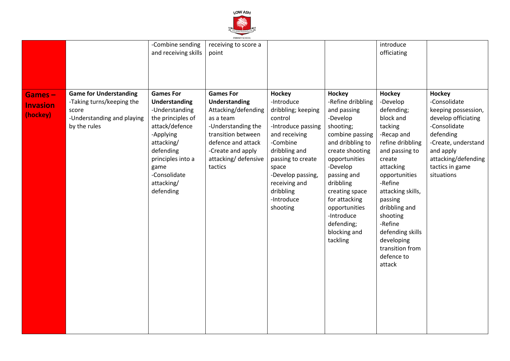

| Games-                      | <b>Game for Understanding</b>                                                    | -Combine sending<br>and receiving skills<br><b>Games For</b>                                                                                                                                  | PRIMARY SCHOOL<br>receiving to score a<br>point<br><b>Games For</b>                                                                                                        | Hockey                                                                                                                                                                                                                     | Hockey                                                                                                                                                                                                                                                                                   | introduce<br>officiating<br>Hockey                                                                                                                                                                                                                                                                         | Hockey                                                                                                                                                                              |
|-----------------------------|----------------------------------------------------------------------------------|-----------------------------------------------------------------------------------------------------------------------------------------------------------------------------------------------|----------------------------------------------------------------------------------------------------------------------------------------------------------------------------|----------------------------------------------------------------------------------------------------------------------------------------------------------------------------------------------------------------------------|------------------------------------------------------------------------------------------------------------------------------------------------------------------------------------------------------------------------------------------------------------------------------------------|------------------------------------------------------------------------------------------------------------------------------------------------------------------------------------------------------------------------------------------------------------------------------------------------------------|-------------------------------------------------------------------------------------------------------------------------------------------------------------------------------------|
| <b>Invasion</b><br>(hockey) | -Taking turns/keeping the<br>score<br>-Understanding and playing<br>by the rules | <b>Understanding</b><br>-Understanding<br>the principles of<br>attack/defence<br>-Applying<br>attacking/<br>defending<br>principles into a<br>game<br>-Consolidate<br>attacking/<br>defending | Understanding<br>Attacking/defending<br>as a team<br>-Understanding the<br>transition between<br>defence and attack<br>-Create and apply<br>attacking/defensive<br>tactics | -Introduce<br>dribbling; keeping<br>control<br>-Introduce passing<br>and receiving<br>-Combine<br>dribbling and<br>passing to create<br>space<br>-Develop passing,<br>receiving and<br>dribbling<br>-Introduce<br>shooting | -Refine dribbling<br>and passing<br>-Develop<br>shooting;<br>combine passing<br>and dribbling to<br>create shooting<br>opportunities<br>-Develop<br>passing and<br>dribbling<br>creating space<br>for attacking<br>opportunities<br>-Introduce<br>defending;<br>blocking and<br>tackling | -Develop<br>defending;<br>block and<br>tacking<br>-Recap and<br>refine dribbling<br>and passing to<br>create<br>attacking<br>opportunities<br>-Refine<br>attacking skills,<br>passing<br>dribbling and<br>shooting<br>-Refine<br>defending skills<br>developing<br>transition from<br>defence to<br>attack | -Consolidate<br>keeping possession,<br>develop officiating<br>-Consolidate<br>defending<br>-Create, understand<br>and apply<br>attacking/defending<br>tactics in game<br>situations |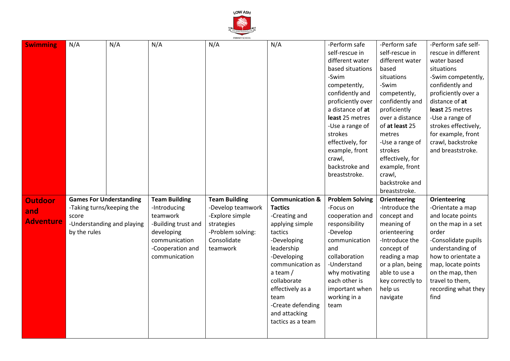

| N/A<br>N/A<br>N/A<br>N/A<br>-Perform safe<br>-Perform safe<br>N/A<br><b>Swimming</b><br>self-rescue in<br>self-rescue in                                                        | -Perform safe self-  |
|---------------------------------------------------------------------------------------------------------------------------------------------------------------------------------|----------------------|
|                                                                                                                                                                                 |                      |
|                                                                                                                                                                                 | rescue in different  |
| different water<br>different water                                                                                                                                              | water based          |
| based situations<br>based                                                                                                                                                       | situations           |
| -Swim<br>situations                                                                                                                                                             | -Swim competently,   |
| -Swim<br>competently,                                                                                                                                                           | confidently and      |
| confidently and<br>competently,                                                                                                                                                 | proficiently over a  |
| confidently and<br>proficiently over                                                                                                                                            | distance of at       |
| proficiently<br>a distance of at                                                                                                                                                | least 25 metres      |
| least 25 metres<br>over a distance                                                                                                                                              | -Use a range of      |
| of at least 25<br>-Use a range of                                                                                                                                               | strokes effectively, |
| strokes<br>metres                                                                                                                                                               | for example, front   |
| effectively, for<br>-Use a range of                                                                                                                                             | crawl, backstroke    |
| example, front<br>strokes                                                                                                                                                       | and breaststroke.    |
| crawl,<br>effectively, for                                                                                                                                                      |                      |
| backstroke and<br>example, front                                                                                                                                                |                      |
| breaststroke.<br>crawl,                                                                                                                                                         |                      |
| backstroke and                                                                                                                                                                  |                      |
| breaststroke.                                                                                                                                                                   |                      |
| <b>Team Building</b><br><b>Communication &amp;</b><br><b>Games For Understanding</b><br><b>Team Building</b><br><b>Problem Solving</b><br><b>Orienteering</b><br><b>Outdoor</b> | <b>Orienteering</b>  |
| -Taking turns/keeping the<br>-Introducing<br>-Develop teamwork<br><b>Tactics</b><br>-Introduce the<br>-Focus on                                                                 | -Orientate a map     |
| and<br>teamwork<br>-Explore simple<br>-Creating and<br>cooperation and<br>concept and<br>score                                                                                  | and locate points    |
| <b>Adventure</b><br>-Understanding and playing<br>strategies<br>applying simple<br>meaning of<br>-Building trust and<br>responsibility                                          | on the map in a set  |
| by the rules<br>-Problem solving:<br>-Develop<br>developing<br>tactics<br>orienteering                                                                                          | order                |
| Consolidate<br>-Introduce the<br>communication<br>-Developing<br>communication                                                                                                  | -Consolidate pupils  |
| -Cooperation and<br>teamwork<br>leadership<br>and<br>concept of                                                                                                                 | understanding of     |
| -Developing<br>collaboration<br>reading a map<br>communication                                                                                                                  | how to orientate a   |
| -Understand<br>or a plan, being<br>communication as                                                                                                                             | map, locate points   |
| able to use a<br>a team $/$<br>why motivating                                                                                                                                   | on the map, then     |
| collaborate<br>each other is<br>key correctly to                                                                                                                                | travel to them,      |
| effectively as a<br>help us<br>important when                                                                                                                                   | recording what they  |
| working in a<br>team<br>navigate                                                                                                                                                | find                 |
| -Create defending<br>team                                                                                                                                                       |                      |
| and attacking                                                                                                                                                                   |                      |
| tactics as a team                                                                                                                                                               |                      |
|                                                                                                                                                                                 |                      |
|                                                                                                                                                                                 |                      |